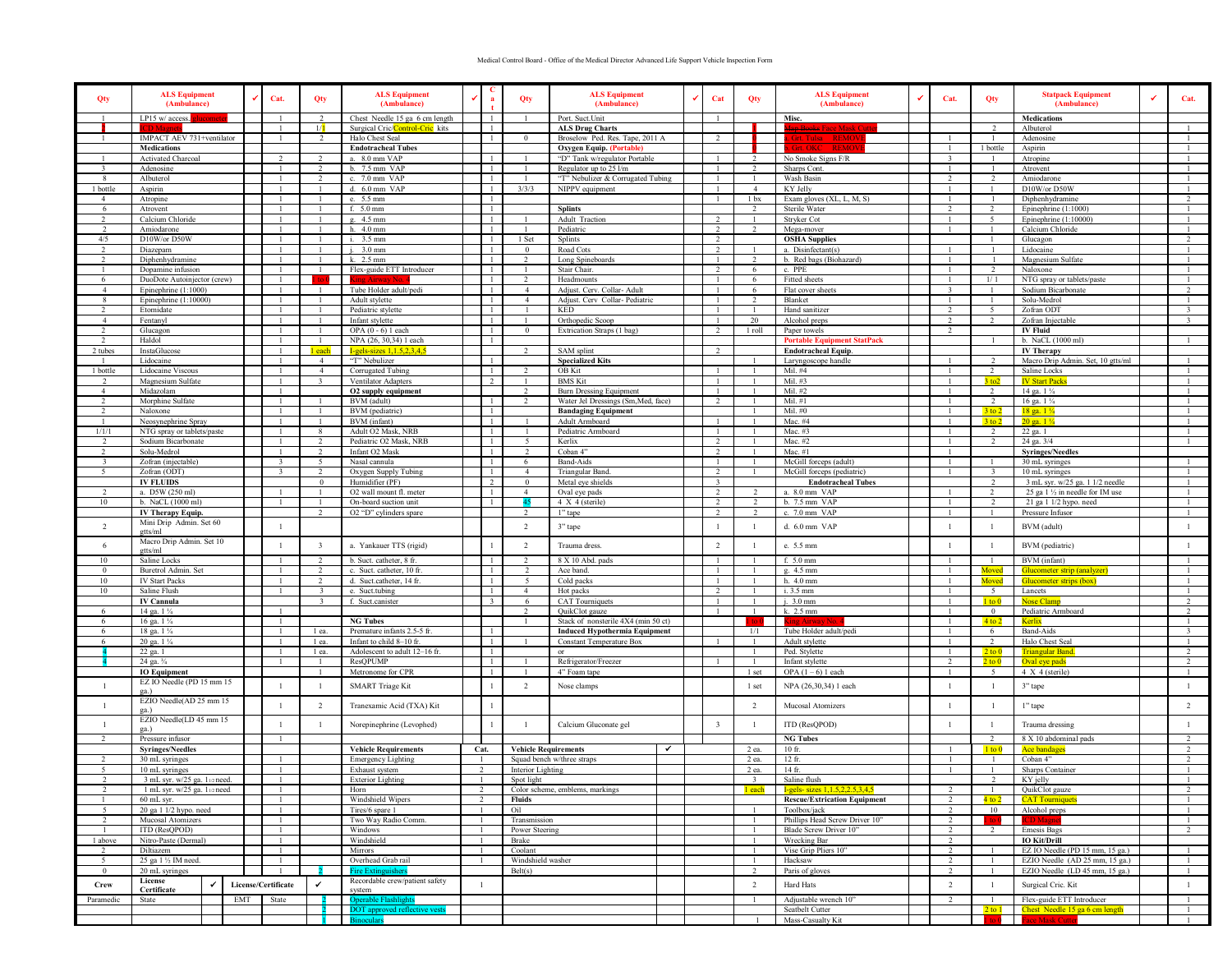## Medical Control Board - Office of the Medical Director Advanced Life Support Vehicle Inspection Form

| Qty                       | <b>ALS Equipment</b><br>(Ambulance)                                 | ✔<br>Cat.                                     |  | Qty                             | <b>ALS Equipment</b><br>(Ambulance)                | $\checkmark$   | $\mathbf{a}$                   | Qty                         | <b>ALS Equipment</b><br>(Ambulance)                       | $\checkmark$                         | Cat                              | Qty                              | <b>ALS Equipment</b><br>(Ambulance)                   | ✔                                               | Cat.                       | Qty                           | <b>Statpack Equipment</b><br>(Ambulance) | Cat.                                      |
|---------------------------|---------------------------------------------------------------------|-----------------------------------------------|--|---------------------------------|----------------------------------------------------|----------------|--------------------------------|-----------------------------|-----------------------------------------------------------|--------------------------------------|----------------------------------|----------------------------------|-------------------------------------------------------|-------------------------------------------------|----------------------------|-------------------------------|------------------------------------------|-------------------------------------------|
|                           | LP15 w/ access.                                                     |                                               |  | 2                               | Chest Needle 15 ga 6 cm length                     |                | $\mathbf{1}$                   | $\mathbf{1}$                | Port. Suct. Unit                                          |                                      |                                  |                                  | Misc.                                                 |                                                 |                            | $\overline{\phantom{a}}$      | Medications                              |                                           |
|                           | IMPACT AEV 731+ventilator                                           |                                               |  | 1/1<br>$\mathcal{L}$            | Surgical Cric/Control-Cric kits<br>Halo Chest Seal |                | $\mathbf{1}$<br>-1             | $\overline{0}$              | <b>ALS Drug Charts</b><br>Broselow Ped. Res. Tape, 2011 A |                                      | $\overline{\phantom{a}}$         |                                  | <del>Man Rooks</del> Face Mask                        |                                                 |                            | $\mathbf{1}$                  | Albuterol<br>Adenosine                   |                                           |
|                           | <b>Medications</b>                                                  |                                               |  |                                 | <b>Endotracheal Tubes</b>                          |                |                                |                             | Oxygen Equip. (Portable)                                  |                                      |                                  |                                  |                                                       |                                                 |                            | 1 bottle                      | Aspirin                                  |                                           |
|                           | Activated Charcoal                                                  |                                               |  | 2                               | a. 8.0 mm VAP                                      |                | -1                             |                             | "D" Tank w/regulator Portable                             |                                      | $\mathbf{1}$                     |                                  | No Smoke Signs F/R                                    |                                                 | -3                         | -1                            | Atropine                                 |                                           |
| $\mathcal{R}$             | Adenosine                                                           |                                               |  | 2                               | b. 7.5 mm VAP                                      |                | -1                             |                             | Regulator up to 25 l/m                                    |                                      | $\mathbf{1}$                     | $\overline{2}$                   | Sharps Cont.                                          |                                                 | -1                         | -1                            | Atrovent                                 | $\mathbf{1}$                              |
| -8                        | Albuterol                                                           |                                               |  | $\overline{2}$                  | c. 7.0 mm VAP                                      |                | $\overline{1}$                 |                             | "T" Nebulizer & Corrugated Tubing                         |                                      |                                  |                                  | Wash Basin                                            |                                                 | $\overline{2}$             | 2                             | Amiodarone                               |                                           |
| 1 bottle                  | Aspirin                                                             |                                               |  |                                 | d. 6.0 mm VAP                                      |                | $\mathbf{1}$<br>$\overline{1}$ | 3/3/3                       | NIPPV equipment                                           |                                      | $\mathbf{1}$                     |                                  | KY Jelly<br>Exam gloves (XL, L, M, S)                 |                                                 |                            | $\mathbf{1}$                  | D10W/or D50W                             | $\mathbf{1}$<br>$\mathcal{L}$             |
| 6                         | Atropine<br>Atrovent                                                |                                               |  |                                 | e. 5.5 mm<br>f. 5.0 mm                             |                | -1                             |                             | <b>Splints</b>                                            |                                      |                                  | 1 bx                             | Sterile Water                                         |                                                 |                            | 2                             | Diphenhydramine<br>Epinephrine (1:1000)  |                                           |
| $\overline{2}$            | Calcium Chloride                                                    |                                               |  | -1                              | g. 4.5 mm                                          |                | $\overline{1}$                 |                             | Adult Traction                                            |                                      | $\overline{2}$                   |                                  | Stryker Cot                                           |                                                 |                            | 5                             | Epinephrine $(1:10000)$                  | $\mathbf{1}$                              |
| <sup>2</sup>              | Amiodarone                                                          |                                               |  | -1                              | h. 4.0 mm                                          |                | -1                             |                             | Pediatric                                                 |                                      | 2                                | $\overline{2}$                   | Mega-mover                                            |                                                 |                            | $\mathbf{1}$                  | Calcium Chloride                         | -1                                        |
| 4/5                       | D10W/or D50W                                                        |                                               |  |                                 | i. 3.5 mm                                          |                | $\mathbf{1}$                   | 1 Set                       | Splints                                                   |                                      | 2                                |                                  | <b>OSHA Supplies</b>                                  |                                                 |                            | $\mathbf{1}$                  | Glucagon                                 | 2                                         |
|                           | Diazepam                                                            |                                               |  |                                 | $3.0 \text{ mm}$                                   |                | $\overline{1}$                 | $\Omega$                    | Road Cots                                                 |                                      | 2                                |                                  | a. Disinfectant(s)                                    |                                                 |                            | $\overline{1}$                | Lidocaine                                |                                           |
|                           | Diphenhydramine<br>Dopamine infusion                                |                                               |  | $\overline{1}$                  | k. 2.5 mm<br>Flex-guide ETT Introducer             |                | $\mathbf{1}$<br>-1             |                             | Long Spineboards<br>Stair Chair.                          |                                      | 2                                | 6                                | b. Red bags (Biohazard)<br>c. PPE                     |                                                 |                            | 2                             | Magnesium Sulfate<br>Naloxone            |                                           |
| -6                        | DuoDote Autoinjector (crew)                                         |                                               |  |                                 |                                                    |                | -1                             | $\overline{2}$              | Headmounts                                                |                                      | $\mathbf{1}$                     | 6                                | Fitted sheets                                         |                                                 |                            | 1/1                           | NTG spray or tablets/paste               | $\mathbf{1}$                              |
| $\overline{4}$            | Epinephrine (1:1000)                                                |                                               |  | -1                              | Tube Holder adult/pedi                             |                | -1                             | $\overline{4}$              | Adjust. Cerv. Collar- Adult                               |                                      | -1                               | -6                               | Flat cover sheets                                     |                                                 | $\mathcal{R}$              | -1                            | Sodium Bicarbonate                       | $\overline{2}$                            |
| -8                        | Epinephrine $(1:10000)$                                             |                                               |  | $\overline{1}$                  | Adult stylette                                     |                | $\mathbf{1}$                   | $\overline{4}$              | Adjust. Cerv Collar- Pediatric                            |                                      |                                  | $\overline{2}$                   | Blanket                                               |                                                 |                            | $\mathbf{1}$                  | Solu-Medrol                              | $\mathbf{1}$                              |
|                           | Etomidate                                                           |                                               |  | $\overline{1}$                  | Pediatric stylette                                 |                | $\overline{1}$                 |                             | <b>KED</b>                                                |                                      | $\mathbf{1}$                     |                                  | Hand sanitizer                                        |                                                 | $\overline{2}$<br>$\gamma$ | -5<br>$\overline{ }$          | Zofran ODT                               | $\overline{3}$<br>$\overline{\mathbf{a}}$ |
| $\overline{4}$            | Fentanyl<br>Glucagon                                                |                                               |  |                                 | Infant stylette<br>OPA $(0 - 6)$ l each            |                | $\mathbf{1}$<br>$\overline{1}$ | $\bf{0}$                    | Orthopedic Scoop<br>Extrication Straps (1 bag)            |                                      |                                  | 20<br>1 roll                     | Alcohol preps<br>Paper towels                         |                                                 |                            |                               | Zofran Injectable<br><b>IV Fluid</b>     |                                           |
| 2                         | Haldol                                                              |                                               |  | $\overline{1}$                  | NPA (26, 30, 34) 1 each                            |                | -1                             |                             |                                                           |                                      |                                  |                                  | <b>Portable Equipment StatPack</b>                    |                                                 |                            | -1                            | b. NaCL (1000 ml)                        |                                           |
| 2 tubes                   | InstaGlucose                                                        |                                               |  | 1 each                          | $I-gels-sizes 1, 1.5, 2, 3, 4, 5$                  |                |                                | 2                           | SAM splint                                                |                                      | 2                                |                                  | <b>Endotracheal Equip.</b>                            |                                                 |                            |                               | <b>IV Therapy</b>                        |                                           |
|                           | Lidocaine                                                           |                                               |  | $\overline{4}$                  | "T" Nebulizer                                      |                | -1                             |                             | <b>Specialized Kits</b>                                   |                                      |                                  |                                  | Laryngoscope handle                                   |                                                 |                            | 2                             | Macro Drip Admin. Set, 10 gtts/ml        |                                           |
| 1 bottle                  | Lidocaine Viscous                                                   |                                               |  | $\overline{4}$                  | Corrugated Tubing                                  |                | $\overline{1}$                 | $\mathcal{L}$               | OB Kit                                                    |                                      | $\overline{1}$                   |                                  | Mil. #4                                               |                                                 |                            | $\mathcal{L}$                 | Saline Locks                             |                                           |
| $\overline{4}$            | Magnesium Sulfate<br>Midazolam                                      |                                               |  |                                 | Ventilator Adapters<br>O2 supply equipment         |                |                                | 2                           | <b>BMS</b> Kit<br><b>Burn Dressing Equipment</b>          |                                      |                                  |                                  | Mil. #3<br>Mil. #2                                    |                                                 |                            | 3 to 2<br>$\overline{2}$      | <b>IV Start Packs</b><br>14 ga. 1 1/4    |                                           |
| $\mathcal{L}$             | Morphine Sulfate                                                    |                                               |  |                                 | BVM (adult)                                        |                | -1                             | $\overline{2}$              | Water Jel Dressings (Sm, Med, face)                       |                                      | $\overline{2}$                   |                                  | Mil. $#1$                                             |                                                 |                            | $\overline{2}$                | 16 ga. 1 1/4                             |                                           |
| $\mathcal{L}$             | Naloxone                                                            |                                               |  |                                 | <b>BVM</b> (pediatric)                             |                | -1                             |                             | <b>Bandaging Equipment</b>                                |                                      |                                  |                                  | Mil. #0                                               |                                                 |                            | $3$ to $2$                    | $18$ ga. $1\frac{1}{4}$                  |                                           |
|                           | Neosynephrine Spray                                                 |                                               |  |                                 | BVM (infant)                                       |                | $\mathbf{1}$                   |                             | Adult Armboard                                            |                                      |                                  |                                  | Mac. #4                                               |                                                 |                            | $3$ to $2$                    | $20$ ga. $1\frac{1}{4}$                  |                                           |
| 1/1/1                     | NTG spray or tablets/paste                                          |                                               |  | -8                              | Adult O2 Mask, NRB                                 |                | $\overline{1}$                 |                             | Pediatric Armboard                                        |                                      |                                  |                                  | Mac. #3                                               |                                                 |                            | 2                             | 22 ga. 1                                 | -1                                        |
|                           | Sodium Bicarbonate<br>Solu-Medrol                                   |                                               |  | $\mathcal{L}$<br>$\overline{2}$ | Pediatric O2 Mask, NRB<br>Infant O2 Mask           |                | -1<br>$\mathbf{1}$             | $\overline{2}$              | Kerlix<br>Coban 4"                                        |                                      | $\overline{2}$<br>2              |                                  | Mac. #2<br>Mac. #1                                    |                                                 |                            | $\mathcal{L}$                 | 24 ga. 3/4<br><b>Syringes/Needles</b>    |                                           |
| 3                         | Zofran (injectable)                                                 | $\overline{\mathbf{3}}$                       |  | -5                              | Nasal cannula                                      |                | -1                             | -6                          | <b>Band-Aids</b>                                          |                                      | -1                               |                                  | McGill forceps (adult)                                |                                                 |                            | -1                            | $30$ mL syringes                         | -1                                        |
| -5                        | Zofran (ODT)                                                        | $\mathbf{R}$                                  |  | 2                               | Oxygen Supply Tubing                               |                | -1                             | $\overline{4}$              | Triangular Band.                                          |                                      | 2                                |                                  | McGill forceps (pediatric)                            |                                                 |                            | $\overline{\mathbf{3}}$       | 10 mL syringes                           | -1                                        |
|                           | <b>IV FLUIDS</b>                                                    |                                               |  | $\Omega$                        | Humidifier (PF)                                    |                | $\overline{2}$                 | $\Omega$                    | Metal eve shields                                         |                                      | $\overline{\mathbf{3}}$          |                                  | <b>Endotracheal Tubes</b>                             |                                                 |                            | $\overline{2}$                | 3 mL syr. w/25 ga. 1 1/2 needle          | -1                                        |
| $\mathcal{L}$             | a. D5W (250 ml)                                                     |                                               |  |                                 | O2 wall mount fl. meter                            |                | $\overline{1}$                 | $\overline{4}$              | Oval eye pads                                             |                                      | 2                                |                                  | a. 8.0 mm VAP                                         |                                                 |                            | $\mathcal{L}$                 | 25 ga 1 1/2 in needle for IM use         |                                           |
| 10                        | b. NaCL (1000 ml)                                                   |                                               |  | $\overline{2}$                  | On-board suction unit                              |                | $\overline{1}$                 | 2                           | 4 X 4 (sterile)                                           |                                      | $\overline{ }$<br>$\overline{2}$ |                                  | b. 7.5 mm VAP<br>c. 7.0 mm VAP                        |                                                 |                            | $\mathcal{L}$<br>$\mathbf{1}$ | $21$ ga $11/2$ hypo. need                |                                           |
|                           | IV Therapy Equip.<br>Mini Drip Admin. Set 60                        |                                               |  |                                 | O2 "D" cylinders spare                             |                |                                |                             | l" tape                                                   |                                      |                                  |                                  |                                                       |                                                 |                            |                               | Pressure Infusor                         |                                           |
| $\overline{2}$            | etts/ml                                                             | $\mathbf{1}$                                  |  |                                 |                                                    |                |                                | 2                           | 3" tape                                                   |                                      | $\mathbf{1}$                     |                                  | d. 6.0 mm VAP                                         |                                                 | $\overline{1}$             | $\mathbf{1}$                  | BVM (adult)                              | $\mathbf{1}$                              |
| 6                         | Macro Drip Admin. Set 10                                            |                                               |  | $\overline{3}$                  | a. Yankauer TTS (rigid)                            |                | $\overline{1}$                 | 2                           | Trauma dress.                                             |                                      | 2                                |                                  | e. 5.5 mm                                             |                                                 | $\overline{1}$             | $\mathbf{1}$                  | BVM (pediatric)                          | $\mathbf{1}$                              |
| 10 <sup>°</sup>           | gtts/ml<br>Saline Locks                                             |                                               |  | 2                               | b. Suct. catheter, 8 fr.                           |                | $\mathbf{1}$                   | $\overline{2}$              | 8 X 10 Abd. pads                                          |                                      |                                  |                                  | f. 5.0 mm                                             |                                                 |                            | -1                            | BVM (infant)                             | $\mathbf{1}$                              |
| $\Omega$                  | Buretrol Admin. Set                                                 |                                               |  | $\overline{2}$                  | c. Suct. catheter, 10 fr.                          |                | $\mathbf{1}$                   | $\overline{2}$              | Ace band.                                                 |                                      |                                  |                                  | g. 4.5 mm                                             |                                                 |                            | Moved                         | Glucometer strip (analyzer)              | $\mathbf{1}$                              |
| 10                        | <b>IV Start Packs</b>                                               |                                               |  | $\mathcal{D}$                   | d. Suct.catheter, 14 fr.                           |                | $\overline{1}$                 | 5                           | Cold packs                                                |                                      | $\overline{1}$                   |                                  | h. 4.0 mm                                             |                                                 |                            | Moved                         | Glucometer strips (box)                  | $\overline{1}$                            |
| 10                        | Saline Flush                                                        |                                               |  |                                 | e. Suct.tubing                                     |                | $\overline{1}$                 | $\overline{4}$              | Hot packs                                                 |                                      | $\overline{ }$                   |                                  | i. 3.5 mm                                             |                                                 |                            | $\sim$                        | Lancets                                  | $\overline{1}$                            |
|                           | <b>IV Cannula</b>                                                   |                                               |  | $\overline{\mathbf{3}}$         | f. Suct.canister                                   |                |                                | 6                           | <b>CAT</b> Tourniquets                                    |                                      |                                  |                                  | j. 3.0 mm                                             |                                                 |                            | $1$ to $0$                    | <b>Nose Clamp</b>                        | 2                                         |
| -6<br>6                   | 14 ga. 1 1/4                                                        |                                               |  |                                 | <b>NG Tubes</b>                                    |                |                                | $\overline{2}$<br>-1        | QuikClot gauze<br>Stack of nonsterile 4X4 (min 50 ct)     |                                      | $\overline{1}$                   | $\mathbf{1}$                     | k. 2.5 mm                                             |                                                 |                            | $\overline{0}$                | Pediatric Armboard                       | $\overline{2}$<br>-1                      |
| -6                        | 16 ga. 1 1/4<br>18 ga. 1 1/4                                        |                                               |  | 1 ea.                           | Premature infants 2.5-5 fr.                        |                | -1                             |                             | <b>Induced Hypothermia Equipment</b>                      |                                      |                                  | 1/1                              | Tube Holder adult/pedi                                |                                                 |                            | $4$ to $2$<br>6               | Kerlix<br>Band-Aids                      | $\overline{\mathbf{3}}$                   |
|                           | 20 ga. 1 1/4                                                        |                                               |  | 1 ea.                           | Infant to child 8-10 fr.                           |                | $\overline{1}$                 | $\mathbf{1}$                | <b>Constant Temperature Box</b>                           |                                      |                                  |                                  | Adult stylette                                        |                                                 |                            | $\mathcal{L}$                 | Halo Chest Seal                          |                                           |
|                           | 22 ga. 1                                                            |                                               |  | 1 ea.                           | Adolescent to adult 12-16 fr.                      |                | $\mathbf{1}$                   |                             |                                                           |                                      |                                  |                                  | Ped. Stylette                                         |                                                 |                            | 2 to 0                        | <b>Triangular Band</b>                   |                                           |
|                           | 24 ga. 3/4                                                          |                                               |  |                                 | ResOPUMP                                           |                | -1                             |                             | Refrigerator/Freezer                                      |                                      |                                  |                                  | Infant stylette                                       |                                                 | $\overline{\mathcal{L}}$   | $2$ to $0$                    | Oval eye pads                            | 2                                         |
|                           | <b>IO Equipment</b><br>EZ IO Needle (PD 15 mm 15                    |                                               |  | $\mathbf{1}$                    | Metronome for CPR                                  |                | -1                             | -1                          | 4" Foam tape                                              |                                      |                                  | 1 set                            | OPA $(1-6)$ 1 each                                    |                                                 | -1                         | 5                             | 4 X 4 (sterile)                          | $\mathbf{1}$                              |
| $\mathbf{1}$              | ga.)                                                                |                                               |  | $\mathbf{1}$                    | <b>SMART</b> Triage Kit                            |                | $\mathbf{1}$                   | 2                           | Nose clamps                                               |                                      |                                  | 1 set                            | NPA (26,30,34) 1 each                                 |                                                 |                            | -1                            | 3" tape                                  | $\mathbf{1}$                              |
| $\mathbf{1}$              | EZIO Needle(AD 25 mm 15                                             |                                               |  | 2                               | Tranexamic Acid (TXA) Kit                          |                | $\mathbf{1}$                   |                             |                                                           |                                      |                                  | 2                                | Mucosal Atomizers                                     |                                                 | $\overline{1}$             | -1                            | l" tape                                  | 2                                         |
|                           | ga.)                                                                |                                               |  |                                 |                                                    |                |                                |                             |                                                           |                                      |                                  |                                  |                                                       |                                                 |                            |                               |                                          |                                           |
|                           | EZIO Needle(LD 45 mm 15<br>$ga.$ )                                  |                                               |  | $\mathbf{1}$                    | Norepinephrine (Levophed)                          |                | $\mathbf{1}$                   | -1                          | Calcium Gluconate gel                                     |                                      | $\overline{\mathbf{3}}$          | -1                               | ITD (ResQPOD)                                         |                                                 | $\overline{1}$             | $\mathbf{1}$                  | Trauma dressing                          | $\mathbf{1}$                              |
|                           | Pressure infusor                                                    |                                               |  |                                 |                                                    |                |                                |                             |                                                           |                                      |                                  |                                  | <b>NG Tubes</b>                                       |                                                 |                            | $\mathcal{L}$                 | 8 X 10 abdominal pads                    |                                           |
|                           | <b>Syringes/Needles</b>                                             |                                               |  |                                 | <b>Vehicle Requirements</b>                        |                | Cat.                           | <b>Vehicle Requirements</b> | $\checkmark$                                              |                                      |                                  | 2 ea.                            | 10 fr.                                                |                                                 |                            | $1$ to $0$                    | <b>Ace bandages</b>                      | $\mathcal{D}$                             |
|                           | 30 mL syringes                                                      |                                               |  |                                 | <b>Emergency Lighting</b>                          |                |                                |                             | Squad bench w/three straps                                |                                      |                                  | 2 ea.                            | 12 fr.                                                |                                                 |                            |                               | Coban 4"                                 | $\mathcal{D}$                             |
|                           | 10 mL syringes                                                      |                                               |  |                                 | Exhaust system                                     |                |                                | Interior Lighting           |                                                           |                                      |                                  | 2 ca.                            | 14 fr.                                                |                                                 |                            |                               | Sharps Container                         |                                           |
|                           | 3 mL syr. w/25 ga. 112 need.<br>$1$ mL syr. w/25 ga. $1_{1/2}$ need |                                               |  |                                 | <b>Exterior Lighting</b><br>Horn                   |                |                                | Spot light                  | Color scheme, emblems, markings                           |                                      |                                  | l each                           | Saline flush<br>I-gels- sizes 1, 1.5, 2, 2.5, 3, 4, 5 |                                                 |                            |                               | KY jelly<br>QuikClot gauze               | 2                                         |
|                           | $60$ mL syr.                                                        |                                               |  |                                 | Windshield Wipers                                  |                |                                | Fluids                      |                                                           |                                      |                                  |                                  | <b>Rescue/Extrication Equipment</b>                   |                                                 |                            | 4 to 2                        | <b>CAT Tourniquets</b>                   |                                           |
|                           | 20 ga 1 1/2 hypo. need                                              |                                               |  | Oil<br>Tires/6 spare 1          |                                                    |                |                                |                             |                                                           |                                      | Toolbox/iack                     |                                  |                                                       | 10                                              | Alcohol preps              | $\overline{1}$                |                                          |                                           |
|                           | Mucosal Atomizers                                                   |                                               |  |                                 | Two Way Radio Comm.                                |                |                                | Transmission                |                                                           |                                      |                                  |                                  | Phillips Head Screw Driver 10"                        |                                                 | $\overline{2}$             |                               |                                          | $\mathbf{1}$                              |
|                           | ITD (ResQPOD)                                                       | Windows                                       |  |                                 |                                                    | Power Steering |                                |                             |                                                           |                                      | Blade Screw Driver 10"           |                                  |                                                       |                                                 | <b>Emesis Bags</b>         | 2                             |                                          |                                           |
| 1 above<br>$\overline{2}$ | Diltiazem                                                           | Nitro-Paste (Dermal)<br>Windshield<br>Mirrors |  |                                 | Brake<br>Coolant                                   |                |                                |                             |                                                           | Wrecking Bar<br>Vise Grip Pliers 10" |                                  | $\overline{2}$<br>$\overline{2}$ |                                                       | IO Kit/Drill<br>EZ IO Needle (PD 15 mm, 15 ga.) | $\mathbf{1}$               |                               |                                          |                                           |
| -5                        | 25 ga 1 1/2 IM need.                                                |                                               |  |                                 | Overhead Grab rail                                 |                |                                | Windshield washer           |                                                           |                                      |                                  |                                  | Hacksaw                                               |                                                 | $\overline{2}$             |                               | EZIO Needle (AD 25 mm, 15 ga.)           | $\mathbf{1}$                              |
| $\bf{0}$                  | 20 mL syringes                                                      |                                               |  |                                 | <b>Fire Extinguishers</b>                          |                |                                | Belt(s)                     |                                                           |                                      |                                  |                                  | Paris of gloves                                       |                                                 | $\overline{2}$             |                               | EZIO Needle (LD 45 mm, 15 ga.)           | -1                                        |
| Crew                      | License<br>$\checkmark$                                             | License/Certificate                           |  | $\checkmark$                    | Recordable crew/patient safety                     |                |                                |                             |                                                           |                                      |                                  | $\overline{2}$                   | Hard Hats                                             |                                                 | $\overline{2}$             | -1                            | Surgical Cric. Kit                       | $\mathbf{1}$                              |
|                           | Certificate<br>State<br>EMT                                         | State                                         |  |                                 | system<br><b>Operable Flashlights</b>              |                |                                |                             |                                                           |                                      |                                  |                                  | Adjustable wrench 10"                                 |                                                 | $\overline{2}$             | $\mathbf{1}$                  | Flex-guide ETT Introducer                |                                           |
| Paramedic                 |                                                                     |                                               |  |                                 | DOT approved reflective vests                      |                |                                |                             |                                                           |                                      |                                  |                                  | Seatbelt Cutter                                       |                                                 |                            | $2$ to $1$                    | Chest Needle 15 ga 6 cm length           | $\mathbf{1}$<br>$\mathbf{1}$              |
|                           |                                                                     |                                               |  |                                 | <b>Binoculars</b>                                  |                |                                |                             |                                                           |                                      |                                  |                                  | Mass-Casualty Kit                                     |                                                 |                            |                               | o 0 Face Mask Cutt                       |                                           |